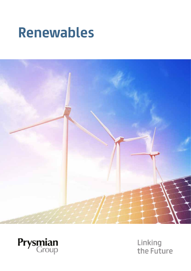### **Renewables Renewables Renewables**





Linking<br>the Future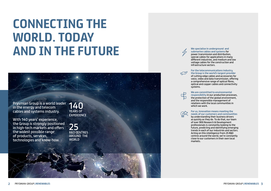### **CONNECTING THE WORLD. TODAY AND IN THE FUTURE CONNECTIONS** WORLD. TODAY *WORLD.* **TODAY 2004**

Prysmian Group is a world leader **140**<br>in the energy and telecom in the energy and telecom cables and systems industry. **industry. PEARS OF** 

With 140 years' experience, the Group is strongly positioned in high-tech markets and offers **in high-tech markets and offers**  the widest possible range of products, services, technologies and know-how. **and know-how. With 140 years' experience,** 

**EXPERIENCE** 

**We specialise in underground and submarine cables and systems for power transmission and distribution,** power wand induced and allean backing.<br>special cables for applications in many different industries, and medium and low special cables for applications in many ance one massemes, and medium and to<br>voltage cables for the construction and voltage cables for the construction.<br>infrastructure sectors. infrastructure sectors.

 $\mathcal{C}$ 

#### **For the telecommunications industry, the Group is the world's largest provider For the telecommunications industry, the**  of cutting-edge cables and accessories for **Group is the world's largest provider** of

or catting eage cables and accessories for<br>voice, video and data transmission, offering voice, video and data transmission, offer<br>a comprehensive range of optical fibres, optical and copper cables and connectivity a comprehensive range of optical fibres, ptical and copper cables and connect

systems. systems.



#### **We are committed to environmental We are committed to environmental**



**responsibility** in our production processes, **responsibility** in our production processes, the protection of the global environment, the protection of the global environment, and the responsible management of and the responsible management of relations with the local communities in relations with the local communities in which we work. which we work.

#### **For us, innovation means meeting the For us, innovation means meeting the needs of our customers and communities needs of our customers and communities**

by understanding their business drivers by understanding their business drivers as quickly as they do. To do that, our team as quickly as they do. To do that, our team of over 900 Research & Development of over 900 Research & Development professionals is constantly looking to the professionals is constantly looking to the future, predicting and identifying emerging future, predicting and identifying emerging trends in each of our industries and sectors. trends in each of our industries and sectors. Acting on this intelligence from 25 R&D Acting on this intelligence from 25 R&D centres around the world, we're constantly centres around the world, we're constantly close to our customers in their own local close to our customers in their own local markets. markets.

YEARS OF EXPERIENCE

25

**RAD CENTRES** AROUND THE WORLD

positioned<br>and offers 25 R&D CENTRES **the widest possible range discrete the product services in the product services of products WORLD** 

**AND IN THE FUTURE**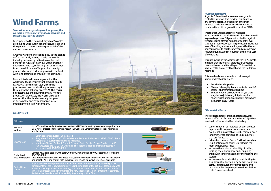## **Wind Farms**

**To meet an ever-growing need for power, the world is increasingly turning to renewable and sustainably sourced energy.**

In response to this demand, Prysmian's cables are helping wind turbine manufacturers around the globe to harness the true po-tential of this natural power source.

Always aware of our responsibility to the planet, we're constantly aiming to help renewable industry partners by delivering cables that benefit the future of both our world and their businesses. And so, reflecting this commitment to sustainability, we offer premium quality products for wind turbines, proven in the field with long-lasting and trouble-free attributes.

Our certified quality management with a worldwide focus ensures that product quality is always at the highest level, from the procurement and production processes, right through to the delivery process. With a focus on sustainable and environmentally friendly production processes, the Prysmian Group ensures that the funda-mental principles of sustainable energy concepts are also implemented in its own company.



#### **Wind Products**

| <b>Offerings</b>                      |                                                                                                                                                                                                                                                                                                                                                                                                                                             |  |  |  |
|---------------------------------------|---------------------------------------------------------------------------------------------------------------------------------------------------------------------------------------------------------------------------------------------------------------------------------------------------------------------------------------------------------------------------------------------------------------------------------------------|--|--|--|
| Medium<br>Voltage                     | Up to 33kV with excellent water tree resistant XLPE insulation to quarantee a longer life time.<br>UV & water protection mechanical robust HDPE sheath. Optional water block performance<br>and Termitex                                                                                                                                                                                                                                    |  |  |  |
| Low Voltage                           | Earth: copper conductor, PVC insulated.<br>Single Core Flexible: X-90 XLPE insulated and PVC sheathed cable to AS/NZS 5000.1. Both<br>materials are customized with extra flexibility.<br>Multi-core Circular Cables: 2, 3 and 4 Core plus Earth Circular, Copper Conductor, V-90<br>PVC Insulated and 5V-90 PVC Sheathed. These standard cables are manufactured in<br>accordance with AS/NZS 5000.1.                                      |  |  |  |
| Control and<br>Instrumentation        | Control: Multicore copper with earth, V-90 PVC insulated and 5V-90 sheather. According to<br>AS/NZS 5000.1<br>Instrumentation: INFORM@X@ Rated 110V, stranded copper conductor with PVC insulation<br>and sheath, Pairs and triples with individual screen and collective screen are available.                                                                                                                                             |  |  |  |
| <b>Optical Fibre</b><br><b>Cables</b> | Prysmian offers a comprehensive optical fibre cable solution of both active and passive<br>components for the renewable industry. Combining state-of the-art glass technology, with<br>advanced coating and buffer technology in an industrialized manner and paving the way<br>towards unprecedented performances and new applications: High-Temperature coatings,<br>Radiation hardened optical fibre, and tight geometry optical fibres. |  |  |  |

#### **Prysmian Termitex®**

Prysmian's Termitex® is a revolutionary cable protection solution, that provides resistance to any termite attack. It is the result of years of research conducted in Prysmian laboratories, in collaborations with organisations such as CSIRO.

This solution utilises additives, which are incorporated into the HDPE sheath of a cable. As well as providing at least 30 years of protection against termites, it also offers a number of benefits over traditional methods of termite protection, including: ease of handling and installation, cost effectiveness and compliance to health, safety and environment regulations. Resulting in reduction of the Total Cost of Ownership.

Through including the additives to the HDPE sheath, it means that the original cable design, does not necessarily need additional layers. This results in a smaller cable dia-meter than that of the traditional methods.

This smaller diameter results in cost savings in labour and materials, due to:

- 
- Smaller bending radius The cable being lighter and easier to handle/ install – shorter installation time
- Longer lengths possible on drum, so there may be less joints and joint pits required – shorter installation time and less manpower
- Reduction in Civil Costs

#### **Offshore Wind farms**

The global expertise Prysmian offers allows for research efforts to focus on a number of objectives relating to offshore wind farms including:

- cables that can be installed at ever greater depths and in any marine environment, even reaching a depth of 3,000 metres; ever longer interconnections, to link countries that are far apart;
- cables for the wind farms furthest from land (e.g. floating wind farms), located in the most windswept areas;
- increase the intrinsic reliability of cables, limiting their dispersion, and equipping them with sensors capable of monitoring the system;
- increase cable productivity, contributing to a significant reduction in system installation costs. In particular, more productive and reliable cables help to optimise installation costs (fewer trenches)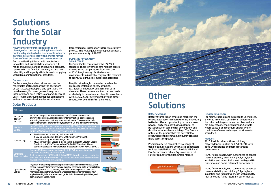| <b>Offerings</b>                                   |                                                                                                                                                                                                                                                                                                                                                                                                              |                    |
|----------------------------------------------------|--------------------------------------------------------------------------------------------------------------------------------------------------------------------------------------------------------------------------------------------------------------------------------------------------------------------------------------------------------------------------------------------------------------|--------------------|
| <b>PV Cables</b><br><b>TECSUN</b><br><b>PRYSUN</b> | PV Cables designed for the interconnection of various elements in<br>photovoltaic systems, including panel interconnection, between panels<br>and string boxes or from string boxes to the inverter. They are suitable for<br>applications indoor and/or outdoor, resistant to UV and harsh environments.                                                                                                    |                    |
| <b>Medium</b><br>Voltage                           | Up to 33kV with excellent water tree resistant XLPE insulation to guarantee<br>longer life time, UV & water protection mechanical robust HDPE sheath.<br>Option on Water block performance and Termitex                                                                                                                                                                                                      |                    |
| Low Voltage                                        | Earths: copper conductor, PVC insulated<br>1.5kV DC SDI: Special design to withstand 1.5kV DC with<br>GUARANTEED great cable design life.<br>Multi-core Circular Cables: 2, 3 and 4 Core plus Earth Circular, Copper<br>Conductor, V-90 PVC Insulated and 5V-90 PVC Sheathed. These<br>standard cables are manufactured in accordance with AS/NZS 5000.1.                                                    | <b>SERDHUAAN</b>   |
| <b>Control and</b><br><b>Instrumentation</b>       | Control: Multicore copper with earth, V-90 PVC insulated and 5V-90<br>sheather. According to AS/NZS 5000.1<br>Instrumentation: INFORM@X® Rated 110V, stranded copper conductor<br>with PVC insulation and sheath, Pairs and triples with individual screen<br>and collective screen are available.                                                                                                           | <b>IFREYEVIMMA</b> |
| <b>Optical Fibre</b><br>Cables                     | Prysmian offers a comprehensive optical fibre cable solution of both active and<br>passive components for the renewable industry. Combining state-of the-art glass<br>technology, with advanced coating and buffer technology in an industrialized<br>manner and paving the way towards unprecedented performances and new<br>applications: High-Temperature coatings, Radiation hardened optical fibre, and |                    |



tight geometry optical fibres.

## **Solutions for the Solar Industry**

### **Other Solutions**

**Always aware of our responsibility to the planet, we're constantly driving innovation in our industry, aiming to help renewable industry partners deliver projects with benefits for the future of both our world and their businesses.** And so, reflecting this commitment to both innovation and sustainability, we offer a full range of quality solar and photovoltaic products, renowned in the field for their easy installation, reliability and longevity attributes and complying with all major international standards.

#### Our customers

Our technologies are hard at work across the renewables sector, supporting the operations of contractors, developers, grid oper-ators, PV panel makers, PV power generation system integrators and even entire solar parks. In recent years, Prysmian Group has supplied components and services to worldwide solar installations

#### **Battery Storage**

Battery Storage is an emerging market in the renewables space. An energy storing innovation; batteries offer an opportunity to store unused power. This technology has to potential to be stored when demand for power is low and distributed when demand is high. The flexible nature of the product has the potential to revolutionise the renewable industry creating more accessible power.

Prysmian offers a comprehensive range of flexible cable solutions with Class 5 conductors for fixed installations. With Flexible XLPE and Fire Performance cables, Prysmian has a full suite of cables for the Renewable Market.



#### **Flexible Single Core**

For mains, submain and sub circuits unenclosed, enclosed in conduit, buried or in underground ducts for building and industrial plants where not subject to mechanical damage. Suitable where space is at a premium and/or where conditions of over-load may occur. Green star accredited.

#### **Products**

90°C, flexible cable, with crosslinking Polyethylene insulation and PVC sheath with good UV resistance and flame retardant performance.

110°C, flexible cable, with customized enhanced thermal stability, crosslinking Polyethylene insulation and robust PVC sheath with good UV resistance and flame retardant performance.

110°C, flexible cable, with customized enhanced thermal stability, crosslinking Polyethylene insulation and robust PVC sheath with good UV resistance and flame retardant performance.

#### from residential installation to large scale utility projects. The total equipment supplied exceeds a generation capacity of 40 GW.

#### **DOMESTIC APPLICATION SOLAR CABLES**

Our Solar Cables comply with the H1Z2Z2-K standard. These low smoke zero halogen cables can withstand temperatures from -40°C to +120°C. Tough enough for the harshest environments in Australia, they are also resistant to ozone, UV-light, acids, alkalis and abrasions.

Despite being tough, these solar panel cables are easy to install due to easy stripping, extraordinary flexibility and a smaller outer diameter. These have conductors that are made of electrolytic tinned copper class 5 in accordance with IEC 60228, for better durability and better conductivity over the life of the PV unit.

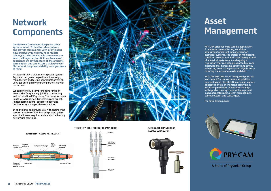**PRY-CAM grids for wind turbine application A revolution in monitoring, condition PRY-CAM grids for wind turbine application assessment and asset management of electrical systems. The worlds of monitoring,**  ment and asset management of electrical sys**condition assessment and asset management of electrical systems are undergoing a**  tems. The worlds of monitoring, condition as**revolution that can help prevent failures and** interruptions, increasing uptime and safety, enhancing assets' longevity and significantly **reducing maintenance costs and risks.** 

**PRY-CAM PORTABLE is an integrated portable instrument for the automatic acquisition, processing and classification of pulse signals generated by PD phenomena occurring in** insulating materials of Medium and High Voltage electrical systems and equipment, such as transformers, electrical machines, **cables systems and switchgear.** The systems and switchgear.

**Our Network Components keep your cable systems intact. To link the cable systems**  and provide communities with a continuous flow of power, you not only need reliable **cables, you need dependable components to** keep it all together, too. Built on decades of experience we develop state-of-the-art joints, **terminations and connectors that'll give your** MV network long-lived stability – and you peace<br>ef<sup>f</sup>mind **of mind stability stability**  $\mathbf{r} = \mathbf{r} \cdot \mathbf{r}$ 

Accessories play a vital role in a power system. Prysmian has gained expertise in the design,  $\overline{\phantom{a}}$ manufacture and testing of products across all voltages during many years of partnership with<br>customers customers.

We can offer you a comprehensive range of accessories for glanding, jointing, connecting<br>——————————————————— and terminating MV systems. The range includes and terminating MV systems. The range includes<br>joints (also transition, trifurcating and branch joints (disc transition, thrancating and branc<br>joints), terminations (both for indoor and outdoor use) and separable connectors.

In addition we can provide you with engineering services capable of fulfilling any power system specifications or requirements and of delivering customised solutions.

**For data-driven power** transformers, electrical machines, cables systems and switchgear.





A Brand of Prysmian Group

# **Network Network Components Components**

### **Asset Management Asset Management**

PRYSMIAN GROUP | **RENEWABLES** 9

#### **ELBOW CONNECTOR** link electrical infrastructures **TERMFIT**™- COLD SHRINK TERMINATION **SEPERABLE CONNECTORS**









#### **ECOSPEED**™-COLD SHRINK JOINT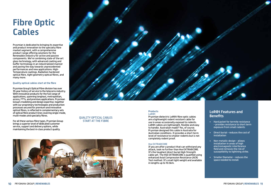## **Fibre Optic Cables**

Prysmian is dedicated to bringing its expertise and product innovation to the specialty fibre market segment, with a comprehensive product range offering solutions for the Renewable Industry for active and passive components. We're combining state-of the-art glass technology, with advanced coating and buffer technology in an industrialized manner and paving the way towards unprecedented performances and new applications: High-Temperature coatings, Radiation hardened optical fibre, tight geometry optical fibres, and many more.

#### **Quality optical cables start at the fibre**

Prysmian Group's Optical Fibre division has over 35-year history of service to the telecoms industry. With innovative products for the full range of applications, spanning longhaul, metropolitan, access, FTTx, and premises applications. Prysmian Group's modelling and design expertise, together with our proprietary technologies and production processes secured for premium and innovative optical fibres, is reflected in complementary sets of optical fibre product lines covering single-mode, multi-modes and specialty fibres.

For all these various fibre types, Prysmian Group brings a superior level of dedicated customer service, support and delivery options, while maintaining the best-in-class product quality.



#### **Products**  LoR@t

Prysmian dielectric LoR@t fibre optic cables are a lightweight rodent resistant cable for use in areas occasionally exposed to rodents. LoR@t cables are lightweight, flexible and easy to handle. Australian made? Yes, of course. Prysmian designed this cable in Australia for Australian conditions. It provides a short-term level of resistance to smaller rodents but is not completely rodent proof.

#### Hse EXTRA@CORE

If you are after a product that can withstand any attack, look no further than Hse EXTRA@CORE. It's the toughest direct burial High Strength cable yet. The HSE EXTRA@CORE is qualified using enhanced Axial Compression Resistance (ACR) Test method. It's small light weight and available in lengths up to 10.5km.

### **LoR@t Features and Benefits**

- Hard jacket for termite resistance – provides resistance to short term exposure from small rodents
- Direct burial reduces the cost of installation
- Non-metallic design allows installation in areas of high electromagnetic interference field and removes the risk of susceptibility to lightning strike.
- Smaller Diameter reduces the space needed to install

#### QUALITY OPTICAL CABLES START AT THE FIBRE